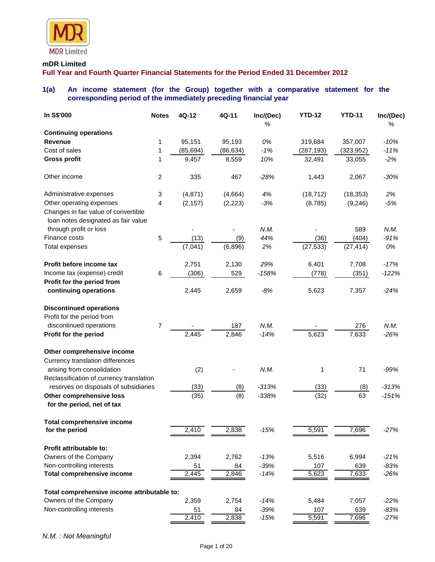

#### **mDR Limited**

**Full Year and Fourth Quarter Financial Statements for the Period Ended 31 December 2012**

## **1(a) An income statement (for the Group) together with a comparative statement for the corresponding period of the immediately preceding financial year**

| In S\$'000                                     | <b>Notes</b>   | 4Q-12     | 4Q-11     | Inc/(Dec) | <b>YTD-12</b> | <b>YTD-11</b> | Inc/(Dec) |
|------------------------------------------------|----------------|-----------|-----------|-----------|---------------|---------------|-----------|
|                                                |                |           |           | %         |               |               | %         |
| <b>Continuing operations</b><br><b>Revenue</b> | 1              | 95,151    | 95,193    | 0%        | 319,684       | 357,007       | $-10%$    |
| Cost of sales                                  | 1              | (85, 694) | (86, 634) | $-1%$     | (287, 193)    | (323, 952)    | $-11%$    |
| <b>Gross profit</b>                            | 1              | 9,457     | 8,559     | 10%       | 32,491        | 33,055        | $-2%$     |
|                                                |                |           |           |           |               |               |           |
| Other income                                   | $\overline{c}$ | 335       | 467       | $-28%$    | 1,443         | 2,067         | $-30%$    |
| Administrative expenses                        | 3              | (4, 871)  | (4,664)   | 4%        | (18, 712)     | (18, 353)     | 2%        |
| Other operating expenses                       | 4              | (2, 157)  | (2, 223)  | $-3%$     | (8,785)       | (9, 246)      | $-5%$     |
| Changes in fair value of convertible           |                |           |           |           |               |               |           |
| loan notes designated as fair value            |                |           |           |           |               |               |           |
| through profit or loss                         |                |           |           | N.M.      |               | 589           | N.M.      |
| Finance costs                                  | 5              | (13)      | (9)       | 44%       | (36)          | (404)         | $-91%$    |
| <b>Total expenses</b>                          |                | (7,041)   | (6,896)   | 2%        | (27, 533)     | (27, 414)     | 0%        |
| Profit before income tax                       |                | 2,751     | 2,130     | 29%       | 6,401         | 7,708         | $-17%$    |
| Income tax (expense) credit                    | 6              | (306)     | 529       | $-158%$   | (778)         | (351)         | $-122%$   |
| Profit for the period from                     |                |           |           |           |               |               |           |
| continuing operations                          |                | 2,445     | 2,659     | $-8%$     | 5,623         | 7,357         | $-24%$    |
| <b>Discontinued operations</b>                 |                |           |           |           |               |               |           |
| Profit for the period from                     |                |           |           |           |               |               |           |
| discontinued operations                        | $\overline{7}$ |           | 187       | N.M.      |               | 276           | N.M.      |
| Profit for the period                          |                | 2,445     | 2,846     | $-14%$    | 5,623         | 7,633         | $-26%$    |
| Other comprehensive income                     |                |           |           |           |               |               |           |
| Currency translation differences               |                |           |           |           |               |               |           |
| arising from consolidation                     |                | (2)       |           | N.M.      | 1             | 71            | $-99%$    |
| Reclassification of currency translation       |                |           |           |           |               |               |           |
| reserves on disposals of subsidiaries          |                | (33)      | (8)       | $-313%$   | (33)          | (8)           | $-313%$   |
| Other comprehensive loss                       |                | (35)      | (8)       | $-338%$   | (32)          | 63            | $-151%$   |
| for the period, net of tax                     |                |           |           |           |               |               |           |
| <b>Total comprehensive income</b>              |                |           |           |           |               |               |           |
| for the period                                 |                | 2,410     | 2,838     | $-15%$    | 5,591         | 7,696         | $-27%$    |
| Profit attributable to:                        |                |           |           |           |               |               |           |
| Owners of the Company                          |                | 2,394     | 2,762     | $-13%$    | 5,516         | 6,994         | $-21%$    |
| Non-controlling interests                      |                | 51        | 84        | $-39%$    | 107           | 639           | $-83%$    |
| <b>Total comprehensive income</b>              |                | 2,445     | 2,846     | $-14%$    | 5,623         | 7,633         | $-26%$    |
| Total comprehensive income attributable to:    |                |           |           |           |               |               |           |
| Owners of the Company                          |                | 2,359     | 2,754     | $-14%$    | 5,484         | 7,057         | $-22%$    |
| Non-controlling interests                      |                | 51        | 84        | $-39%$    | 107           | 639           | $-83%$    |
|                                                |                | 2,410     | 2,838     | $-15%$    | 5,591         | 7,696         | $-27%$    |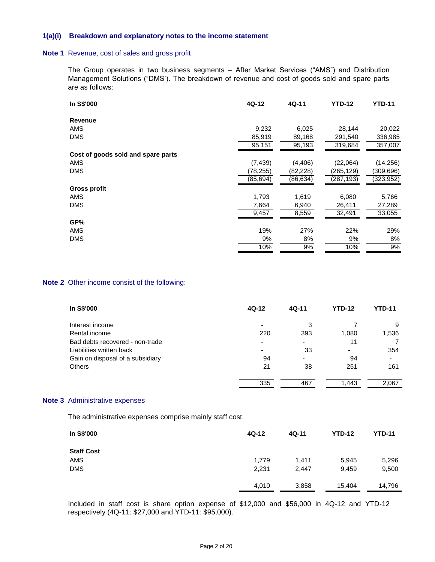#### **1(a)(i) Breakdown and explanatory notes to the income statement**

#### **Note 1** Revenue, cost of sales and gross profit

The Group operates in two business segments – After Market Services ("AMS") and Distribution Management Solutions ("DMS'). The breakdown of revenue and cost of goods sold and spare parts are as follows:

| In S\$'000                         | 4Q-12    | 4Q-11     | <b>YTD-12</b> | <b>YTD-11</b> |
|------------------------------------|----------|-----------|---------------|---------------|
| <b>Revenue</b>                     |          |           |               |               |
| <b>AMS</b>                         | 9,232    | 6,025     | 28,144        | 20,022        |
| <b>DMS</b>                         | 85,919   | 89,168    | 291,540       | 336,985       |
|                                    | 95,151   | 95,193    | 319,684       | 357,007       |
| Cost of goods sold and spare parts |          |           |               |               |
| <b>AMS</b>                         | (7, 439) | (4, 406)  | (22,064)      | (14, 256)     |
| <b>DMS</b>                         | (78,255) | (82, 228) | (265,129)     | (309,696)     |
|                                    | (85,694) | (86,634)  | (287, 193)    | (323,952)     |
| Gross profit                       |          |           |               |               |
| AMS                                | 1,793    | 1,619     | 6,080         | 5,766         |
| <b>DMS</b>                         | 7,664    | 6,940     | 26,411        | 27,289        |
|                                    | 9,457    | 8,559     | 32,491        | 33,055        |
| GP%                                |          |           |               |               |
| AMS                                | 19%      | 27%       | 22%           | 29%           |
| <b>DMS</b>                         | 9%       | 8%        | 9%            | 8%            |
|                                    | 10%      | 9%        | 10%           | 9%            |

#### **Note 2** Other income consist of the following:

| In S\$'000                       | 4Q-12                    | $4Q-11$                  | <b>YTD-12</b> | <b>YTD-11</b>  |
|----------------------------------|--------------------------|--------------------------|---------------|----------------|
| Interest income                  |                          | 3                        |               | 9              |
| Rental income                    | 220                      | 393                      | 1,080         | 1,536          |
| Bad debts recovered - non-trade  | $\overline{\phantom{0}}$ | Ξ.                       | 11            |                |
| Liabilities written back         | -                        | 33                       | -             | 354            |
| Gain on disposal of a subsidiary | 94                       | $\overline{\phantom{0}}$ | 94            | $\blacksquare$ |
| <b>Others</b>                    | 21                       | 38                       | 251           | 161            |
|                                  |                          |                          |               |                |
|                                  | 335                      | 467                      | 1,443         | 2,067          |

#### **Note 3** Administrative expenses

The administrative expenses comprise mainly staff cost.

| In S\$'000        | 4Q-12 | $4Q-11$ | <b>YTD-12</b> | <b>YTD-11</b> |
|-------------------|-------|---------|---------------|---------------|
| <b>Staff Cost</b> |       |         |               |               |
| <b>AMS</b>        | 1,779 | 1,411   | 5,945         | 5,296         |
| <b>DMS</b>        | 2,231 | 2,447   | 9,459         | 9,500         |
|                   | 4,010 | 3,858   | 15,404        | 14,796        |

Included in staff cost is share option expense of \$12,000 and \$56,000 in 4Q-12 and YTD-12 respectively (4Q-11: \$27,000 and YTD-11: \$95,000).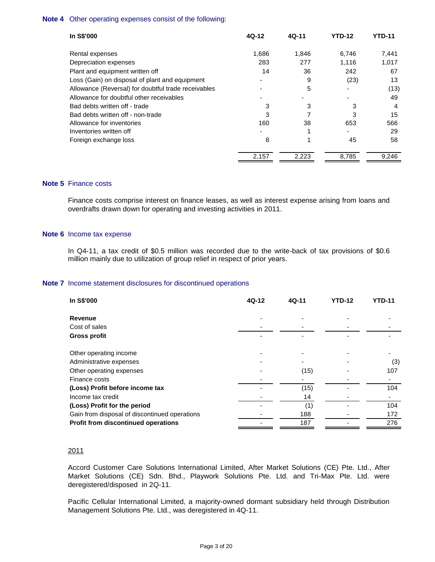#### **Note 4** Other operating expenses consist of the following:

| In S\$'000                                          | 4Q-12          | 4Q-11 | YTD-12 | YTD-11 |
|-----------------------------------------------------|----------------|-------|--------|--------|
| Rental expenses                                     | 1,686          | 1,846 | 6.746  | 7,441  |
| Depreciation expenses                               | 283            | 277   | 1.116  | 1,017  |
| Plant and equipment written off                     | 14             | 36    | 242    | 67     |
| Loss (Gain) on disposal of plant and equipment      | $\blacksquare$ | 9     | (23)   | 13     |
| Allowance (Reversal) for doubtful trade receivables |                | 5     |        | (13)   |
| Allowance for doubtful other receivables            |                |       |        | 49     |
| Bad debts written off - trade                       | 3              | 3     | 3      | 4      |
| Bad debts written off - non-trade                   | 3              |       | 3      | 15     |
| Allowance for inventories                           | 160            | 38    | 653    | 566    |
| Inventories written off                             |                |       |        | 29     |
| Foreign exchange loss                               | 8              |       | 45     | 58     |
|                                                     | 2,157          | 2,223 | 8,785  | 9,246  |

### **Note 5** Finance costs

Finance costs comprise interest on finance leases, as well as interest expense arising from loans and overdrafts drawn down for operating and investing activities in 2011.

#### **Note 6** Income tax expense

In Q4-11, a tax credit of \$0.5 million was recorded due to the write-back of tax provisions of \$0.6 million mainly due to utilization of group relief in respect of prior years.

#### **Note 7** Income statement disclosures for discontinued operations

| In S\$'000                                        | 4Q-12 | 4Q-11 | <b>YTD-12</b> | <b>YTD-11</b> |
|---------------------------------------------------|-------|-------|---------------|---------------|
| <b>Revenue</b>                                    |       |       |               |               |
| Cost of sales                                     |       |       |               |               |
| <b>Gross profit</b>                               |       |       |               |               |
|                                                   |       |       |               |               |
| Other operating income<br>Administrative expenses |       |       |               | (3)           |
| Other operating expenses                          |       | (15)  |               | 107           |
| Finance costs                                     |       |       |               |               |
| (Loss) Profit before income tax                   |       | (15)  |               | 104           |
| Income tax credit                                 |       | 14    |               |               |
| (Loss) Profit for the period                      |       | (1)   |               | 104           |
| Gain from disposal of discontinued operations     |       | 188   |               | 172           |
| Profit from discontinued operations               |       | 187   |               | 276           |

#### 2011

Accord Customer Care Solutions International Limited, After Market Solutions (CE) Pte. Ltd., After Market Solutions (CE) Sdn. Bhd., Playwork Solutions Pte. Ltd. and Tri-Max Pte. Ltd. were deregistered/disposed in 2Q-11.

Pacific Cellular International Limited, a majority-owned dormant subsidiary held through Distribution Management Solutions Pte. Ltd., was deregistered in 4Q-11.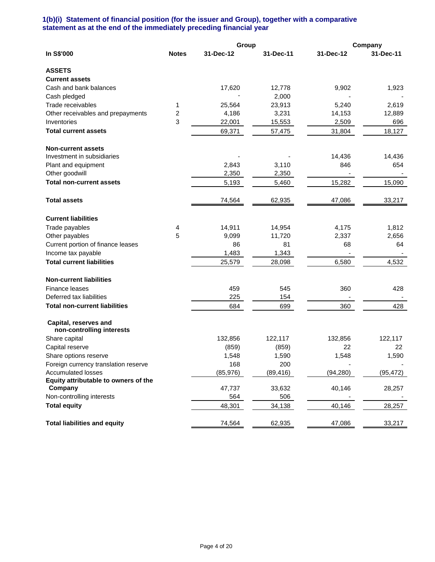## **1(b)(i) Statement of financial position (for the issuer and Group), together with a comparative statement as at the end of the immediately preceding financial year**

|                                                    |              | Group     |           |           | Company   |
|----------------------------------------------------|--------------|-----------|-----------|-----------|-----------|
| In S\$'000                                         | <b>Notes</b> | 31-Dec-12 | 31-Dec-11 | 31-Dec-12 | 31-Dec-11 |
| <b>ASSETS</b>                                      |              |           |           |           |           |
| <b>Current assets</b>                              |              |           |           |           |           |
| Cash and bank balances                             |              | 17,620    | 12,778    | 9,902     | 1,923     |
| Cash pledged                                       |              |           | 2,000     |           |           |
| Trade receivables                                  | 1            | 25,564    | 23,913    | 5,240     | 2,619     |
| Other receivables and prepayments                  | 2            | 4,186     | 3,231     | 14,153    | 12,889    |
| Inventories                                        | 3            | 22,001    | 15,553    | 2,509     | 696       |
| <b>Total current assets</b>                        |              | 69,371    | 57,475    | 31,804    | 18,127    |
| <b>Non-current assets</b>                          |              |           |           |           |           |
| Investment in subsidiaries                         |              |           |           | 14,436    | 14,436    |
| Plant and equipment                                |              | 2,843     | 3,110     | 846       | 654       |
| Other goodwill                                     |              | 2,350     | 2,350     |           |           |
| <b>Total non-current assets</b>                    |              | 5,193     | 5,460     | 15,282    | 15,090    |
| <b>Total assets</b>                                |              | 74,564    | 62,935    | 47,086    | 33,217    |
| <b>Current liabilities</b>                         |              |           |           |           |           |
| Trade payables                                     | 4            | 14,911    | 14,954    | 4,175     | 1,812     |
| Other payables                                     | 5            | 9,099     | 11,720    | 2,337     | 2,656     |
| Current portion of finance leases                  |              | 86        | 81        | 68        | 64        |
| Income tax payable                                 |              | 1,483     | 1,343     |           |           |
| <b>Total current liabilities</b>                   |              | 25,579    | 28,098    | 6,580     | 4,532     |
| <b>Non-current liabilities</b>                     |              |           |           |           |           |
| Finance leases                                     |              | 459       | 545       | 360       | 428       |
| Deferred tax liabilities                           |              | 225       | 154       |           |           |
| <b>Total non-current liabilities</b>               |              | 684       | 699       | 360       | 428       |
| Capital, reserves and<br>non-controlling interests |              |           |           |           |           |
| Share capital                                      |              | 132,856   | 122,117   | 132,856   | 122,117   |
| Capital reserve                                    |              | (859)     | (859)     | 22        | 22        |
| Share options reserve                              |              | 1,548     | 1,590     | 1,548     | 1,590     |
| Foreign currency translation reserve               |              | 168       | 200       |           |           |
| <b>Accumulated losses</b>                          |              | (85, 976) | (89,416)  | (94, 280) | (95, 472) |
| Equity attributable to owners of the               |              |           |           |           |           |
| Company                                            |              | 47,737    | 33,632    | 40,146    | 28,257    |
| Non-controlling interests                          |              | 564       | 506       |           |           |
| <b>Total equity</b>                                |              | 48,301    | 34,138    | 40,146    | 28,257    |
| <b>Total liabilities and equity</b>                |              | 74,564    | 62,935    | 47,086    | 33,217    |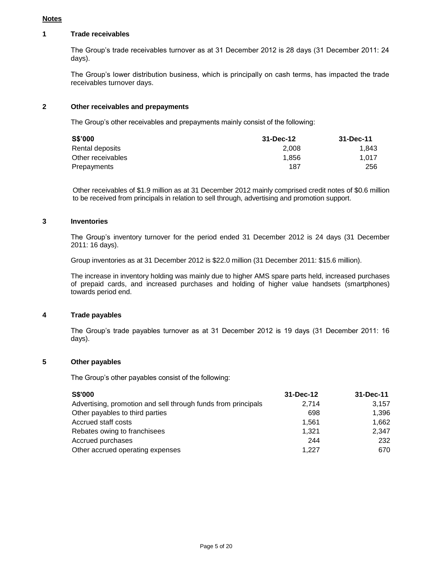#### **Notes**

## **1 Trade receivables**

The Group's trade receivables turnover as at 31 December 2012 is 28 days (31 December 2011: 24 days).

The Group's lower distribution business, which is principally on cash terms, has impacted the trade receivables turnover days.

## **2 Other receivables and prepayments**

The Group's other receivables and prepayments mainly consist of the following:

| <b>S\$'000</b>    | 31-Dec-12 | 31-Dec-11 |
|-------------------|-----------|-----------|
| Rental deposits   | 2.008     | 1.843     |
| Other receivables | 1.856     | 1.017     |
| Prepayments       | 187       | 256       |

Other receivables of \$1.9 million as at 31 December 2012 mainly comprised credit notes of \$0.6 million to be received from principals in relation to sell through, advertising and promotion support.

#### **3 Inventories**

The Group's inventory turnover for the period ended 31 December 2012 is 24 days (31 December 2011: 16 days).

Group inventories as at 31 December 2012 is \$22.0 million (31 December 2011: \$15.6 million).

The increase in inventory holding was mainly due to higher AMS spare parts held, increased purchases of prepaid cards, and increased purchases and holding of higher value handsets (smartphones) towards period end.

#### **4 Trade payables**

The Group's trade payables turnover as at 31 December 2012 is 19 days (31 December 2011: 16 days).

## **5 Other payables**

The Group's other payables consist of the following:

| <b>S\$'000</b>                                                | 31-Dec-12 | 31-Dec-11 |
|---------------------------------------------------------------|-----------|-----------|
| Advertising, promotion and sell through funds from principals | 2,714     | 3.157     |
| Other payables to third parties                               | 698       | 1.396     |
| Accrued staff costs                                           | 1.561     | 1.662     |
| Rebates owing to franchisees                                  | 1.321     | 2,347     |
| Accrued purchases                                             | 244       | 232       |
| Other accrued operating expenses                              | 1,227     | 670       |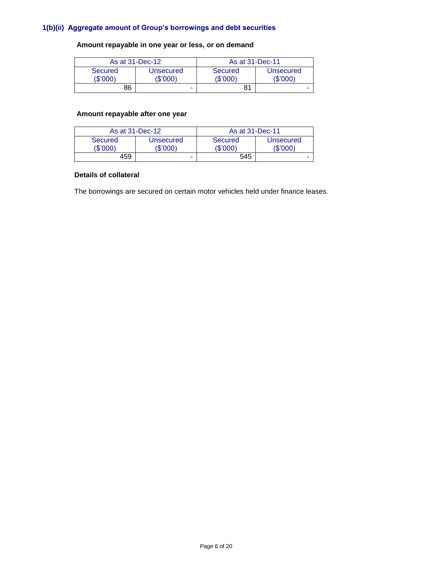## **1(b)(ii) Aggregate amount of Group's borrowings and debt securities**

# **Amount repayable in one year or less, or on demand**

| As at 31-Dec-12     |                       | As at 31-Dec-11     |                       |  |
|---------------------|-----------------------|---------------------|-----------------------|--|
| Secured<br>(\$'000) | Unsecured<br>(\$'000) | Secured<br>(\$'000) | Unsecured<br>(\$'000) |  |
| 86                  | -                     | 81                  |                       |  |

# **Amount repayable after one year**

| As at 31-Dec-12     |                       | As at 31-Dec-11     |                       |  |
|---------------------|-----------------------|---------------------|-----------------------|--|
| Secured<br>(\$'000) | Unsecured<br>(\$'000) | Secured<br>'\$'000) | Unsecured<br>(\$'000) |  |
| 459                 | -                     | 545                 |                       |  |

#### **Details of collateral**

The borrowings are secured on certain motor vehicles held under finance leases.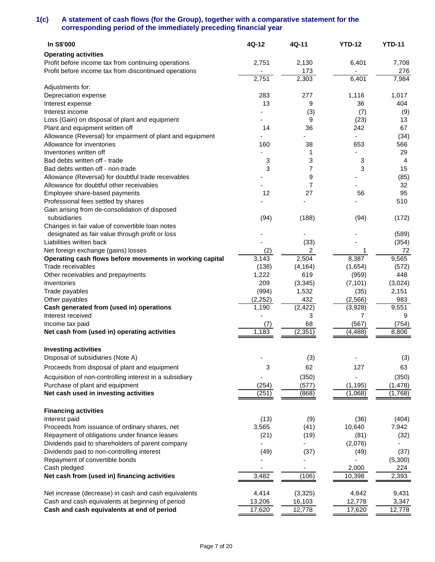## **1(c) A statement of cash flows (for the Group), together with a comparative statement for the corresponding period of the immediately preceding financial year**

| In S\$'000                                                 | 4Q-12   | 4Q-11    | <b>YTD-12</b> | <b>YTD-11</b>  |
|------------------------------------------------------------|---------|----------|---------------|----------------|
| <b>Operating activities</b>                                |         |          |               |                |
| Profit before income tax from continuing operations        | 2,751   | 2,130    | 6,401         | 7,708          |
| Profit before income tax from discontinued operations      |         | 173      |               | 276            |
|                                                            | 2,751   | 2,303    | 6,401         | 7,984          |
| Adjustments for:                                           |         |          |               |                |
| Depreciation expense                                       | 283     | 277      | 1,116         | 1,017          |
| Interest expense                                           | 13      | 9        | 36            | 404            |
| Interest income                                            |         | (3)      | (7)           | (9)            |
| Loss (Gain) on disposal of plant and equipment             |         | 9        | (23)          | 13             |
| Plant and equipment written off                            | 14      | 36       | 242           | 67             |
| Allowance (Reversal) for impairment of plant and equipment |         |          |               | (34)           |
| Allowance for inventories                                  | 160     | 38       | 653           | 566            |
| Inventories written off                                    |         | 1        |               | 29             |
| Bad debts written off - trade                              | 3       | 3        | 3             | $\overline{4}$ |
| Bad debts written off - non-trade                          | 3       | 7        | 3             | 15             |
| Allowance (Reversal) for doubtful trade receivables        |         | 9        |               | (85)           |
| Allowance for doubtful other receivables                   |         | 7        |               | 32             |
| Employee share-based payments                              | 12      | 27       | 56            | 95             |
| Professional fees settled by shares                        |         |          |               | 510            |
| Gain arising from de-consolidation of disposed             |         |          |               |                |
| subsidiaries                                               | (94)    | (188)    | (94)          | (172)          |
| Changes in fair value of convertible loan notes            |         |          |               |                |
| designated as fair value through profit or loss            |         |          |               | (589)          |
| Liabilities written back                                   |         | (33)     |               | (354)          |
| Net foreign exchange (gains) losses                        | (2)     | 2        | 1             | 72             |
| Operating cash flows before movements in working capital   | 3,143   | 2,504    | 8,387         | 9,565          |
| Trade receivables                                          | (138)   | (4, 164) | (1,654)       | (572)          |
| Other receivables and prepayments                          | 1,222   | 619      | (959)         | 448            |
| Inventories                                                | 209     | (3, 345) | (7, 101)      | (3,024)        |
| Trade payables                                             | (994)   | 1,532    | (35)          | 2,151          |
| Other payables                                             | (2,252) | 432      | (2, 566)      | 983            |
| Cash generated from (used in) operations                   | 1,190   | (2, 422) | (3,928)       | 9,551          |
| Interest received                                          |         | 3        | 7             | 9              |
| Income tax paid                                            | (7)     | 68       | (567)         | (754)          |
| Net cash from (used in) operating activities               | 1,183   | (2, 351) | (4, 488)      | 8,806          |
|                                                            |         |          |               |                |
| <b>Investing activities</b>                                |         |          |               |                |
| Disposal of subsidiaries (Note A)                          |         | (3)      |               | (3)            |
|                                                            |         |          |               |                |
| Proceeds from disposal of plant and equipment              | 3       | 62       | 127           | 63             |
| Acquisition of non-controlling interest in a subsidiary    |         | (350)    | ÷             | (350)          |
| Purchase of plant and equipment                            | (254)   | (577)    | (1, 195)      | (1, 478)       |
| Net cash used in investing activities                      | (251)   | (868)    | (1,068)       | (1,768)        |
|                                                            |         |          |               |                |
| <b>Financing activities</b>                                |         |          |               |                |
| Interest paid                                              | (13)    | (9)      | (36)          | (404)          |
| Proceeds from issuance of ordinary shares, net             | 3,565   | (41)     | 10,640        | 7,942          |
| Repayment of obligations under finance leases              | (21)    | (19)     | (81)          | (32)           |
| Dividends paid to shareholders of parent company           | -       |          | (2,076)       |                |
| Dividends paid to non-controlling interest                 | (49)    | (37)     | (49)          | (37)           |
| Repayment of convertible bonds                             |         |          |               | (5,300)        |
| Cash pledged                                               |         | ٠        | 2,000         | 224            |
| Net cash from (used in) financing activities               | 3,482   | (106)    | 10,398        | 2,393          |
|                                                            |         |          |               |                |
| Net increase (decrease) in cash and cash equivalents       | 4,414   | (3, 325) | 4,842         | 9,431          |
| Cash and cash equivalents at beginning of period           | 13,206  | 16,103   | 12,778        | 3,347          |
| Cash and cash equivalents at end of period                 | 17,620  | 12,778   | 17,620        | 12,778         |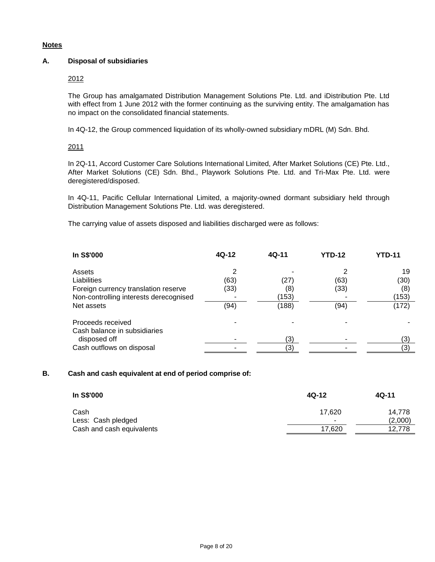## **Notes**

## **A. Disposal of subsidiaries**

### 2012

The Group has amalgamated Distribution Management Solutions Pte. Ltd. and iDistribution Pte. Ltd with effect from 1 June 2012 with the former continuing as the surviving entity. The amalgamation has no impact on the consolidated financial statements.

In 4Q-12, the Group commenced liquidation of its wholly-owned subsidiary mDRL (M) Sdn. Bhd.

## 2011

In 2Q-11, Accord Customer Care Solutions International Limited, After Market Solutions (CE) Pte. Ltd., After Market Solutions (CE) Sdn. Bhd., Playwork Solutions Pte. Ltd. and Tri-Max Pte. Ltd. were deregistered/disposed.

In 4Q-11, Pacific Cellular International Limited, a majority-owned dormant subsidiary held through Distribution Management Solutions Pte. Ltd. was deregistered.

The carrying value of assets disposed and liabilities discharged were as follows:

| In S\$'000                                                                                                     | $4Q-12$      | $4Q-11$              | <b>YTD-12</b> | <b>YTD-11</b>              |
|----------------------------------------------------------------------------------------------------------------|--------------|----------------------|---------------|----------------------------|
| Assets<br><b>Liabilities</b><br>Foreign currency translation reserve<br>Non-controlling interests derecognised | (63)<br>(33) | (27)<br>(8)<br>(153) | (63)<br>(33)  | 19<br>(30)<br>(8)<br>(153) |
| Net assets                                                                                                     | (94)         | (188)                | (94)          | (172)                      |
| Proceeds received<br>Cash balance in subsidiaries                                                              |              |                      |               |                            |
| disposed off<br>Cash outflows on disposal                                                                      |              | (3)<br>'3)           |               | (3)<br>(3)                 |

#### **B. Cash and cash equivalent at end of period comprise of:**

| In S\$'000                | $4Q-12$ | $4Q-11$ |  |
|---------------------------|---------|---------|--|
| Cash                      | 17.620  | 14.778  |  |
| Less: Cash pledged        |         | (2,000) |  |
| Cash and cash equivalents | 17,620  | 12,778  |  |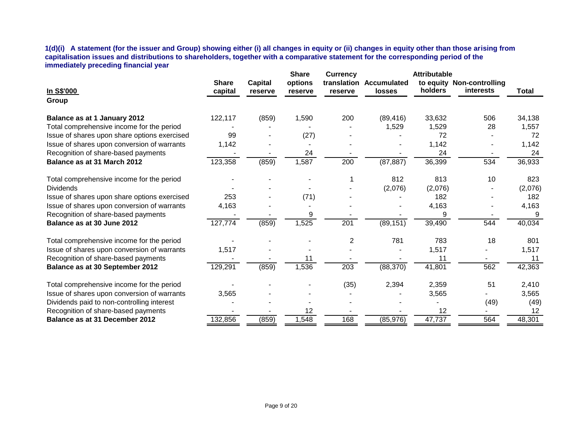**1(d)(i) A statement (for the issuer and Group) showing either (i) all changes in equity or (ii) changes in equity other than those arising from capitalisation issues and distributions to shareholders, together with a comparative statement for the corresponding period of the immediately preceding financial year**

| <b>Share</b><br>options<br><b>Capital</b><br>translation Accumulated<br>to equity Non-controlling<br>holders<br><b>interests</b><br>In S\$'000<br>capital<br><b>Total</b><br>losses<br>reserve<br>reserve<br>reserve<br>Group<br>122,117<br>34,138<br>(859)<br>200<br>(89, 416)<br>33,632<br>Balance as at 1 January 2012<br>1,590<br>506<br>Total comprehensive income for the period<br>1,529<br>1,529<br>28<br>1,557<br>Issue of shares upon share options exercised<br>72<br>72<br>99<br>(27)<br>1,142<br>Issue of shares upon conversion of warrants<br>1,142<br>1,142<br>Recognition of share-based payments<br>24<br>24<br>24<br>(859)<br>1,587<br>200<br>123,358<br>(87, 887)<br>36,399<br>534<br>36,933<br>Balance as at 31 March 2012<br>813<br>812<br>Total comprehensive income for the period<br>10<br>823<br>(2,076)<br>(2,076)<br>(2,076)<br><b>Dividends</b><br>Issue of shares upon share options exercised<br>253<br>(71)<br>182<br>182<br>Issue of shares upon conversion of warrants<br>4,163<br>4,163<br>4,163<br>Recognition of share-based payments<br>9<br>9<br>9<br>1,525<br>201<br>40,034<br>127,774<br>(859)<br>(89, 151)<br>39,490<br>544<br>Balance as at 30 June 2012<br>783<br>18<br>2<br>781<br>801<br>Total comprehensive income for the period<br>1,517<br>1,517<br>Issue of shares upon conversion of warrants<br>1,517<br>Recognition of share-based payments<br>11<br>11<br>11<br>(859)<br>1,536<br>203<br>(88, 370)<br>41,801<br>562<br>129,291<br>42,363<br>Balance as at 30 September 2012<br>(35)<br>2,394<br>Total comprehensive income for the period<br>2,359<br>51<br>2,410<br>Issue of shares upon conversion of warrants<br>3,565<br>3,565<br>3,565<br>Dividends paid to non-controlling interest<br>(49)<br>(49)<br>Recognition of share-based payments<br>12<br>12<br>12<br>(859)<br>1,548<br>168<br>(85, 976)<br>47,737<br>564<br>48,301<br>Balance as at 31 December 2012<br>132,856 | <b>Attributable</b><br><b>Share</b><br><b>Currency</b> |  |  |  |  |  |  |
|-----------------------------------------------------------------------------------------------------------------------------------------------------------------------------------------------------------------------------------------------------------------------------------------------------------------------------------------------------------------------------------------------------------------------------------------------------------------------------------------------------------------------------------------------------------------------------------------------------------------------------------------------------------------------------------------------------------------------------------------------------------------------------------------------------------------------------------------------------------------------------------------------------------------------------------------------------------------------------------------------------------------------------------------------------------------------------------------------------------------------------------------------------------------------------------------------------------------------------------------------------------------------------------------------------------------------------------------------------------------------------------------------------------------------------------------------------------------------------------------------------------------------------------------------------------------------------------------------------------------------------------------------------------------------------------------------------------------------------------------------------------------------------------------------------------------------------------------------------------------------------------------------------------------------------------------|--------------------------------------------------------|--|--|--|--|--|--|
|                                                                                                                                                                                                                                                                                                                                                                                                                                                                                                                                                                                                                                                                                                                                                                                                                                                                                                                                                                                                                                                                                                                                                                                                                                                                                                                                                                                                                                                                                                                                                                                                                                                                                                                                                                                                                                                                                                                                         |                                                        |  |  |  |  |  |  |
|                                                                                                                                                                                                                                                                                                                                                                                                                                                                                                                                                                                                                                                                                                                                                                                                                                                                                                                                                                                                                                                                                                                                                                                                                                                                                                                                                                                                                                                                                                                                                                                                                                                                                                                                                                                                                                                                                                                                         |                                                        |  |  |  |  |  |  |
|                                                                                                                                                                                                                                                                                                                                                                                                                                                                                                                                                                                                                                                                                                                                                                                                                                                                                                                                                                                                                                                                                                                                                                                                                                                                                                                                                                                                                                                                                                                                                                                                                                                                                                                                                                                                                                                                                                                                         |                                                        |  |  |  |  |  |  |
|                                                                                                                                                                                                                                                                                                                                                                                                                                                                                                                                                                                                                                                                                                                                                                                                                                                                                                                                                                                                                                                                                                                                                                                                                                                                                                                                                                                                                                                                                                                                                                                                                                                                                                                                                                                                                                                                                                                                         |                                                        |  |  |  |  |  |  |
|                                                                                                                                                                                                                                                                                                                                                                                                                                                                                                                                                                                                                                                                                                                                                                                                                                                                                                                                                                                                                                                                                                                                                                                                                                                                                                                                                                                                                                                                                                                                                                                                                                                                                                                                                                                                                                                                                                                                         |                                                        |  |  |  |  |  |  |
|                                                                                                                                                                                                                                                                                                                                                                                                                                                                                                                                                                                                                                                                                                                                                                                                                                                                                                                                                                                                                                                                                                                                                                                                                                                                                                                                                                                                                                                                                                                                                                                                                                                                                                                                                                                                                                                                                                                                         |                                                        |  |  |  |  |  |  |
|                                                                                                                                                                                                                                                                                                                                                                                                                                                                                                                                                                                                                                                                                                                                                                                                                                                                                                                                                                                                                                                                                                                                                                                                                                                                                                                                                                                                                                                                                                                                                                                                                                                                                                                                                                                                                                                                                                                                         |                                                        |  |  |  |  |  |  |
|                                                                                                                                                                                                                                                                                                                                                                                                                                                                                                                                                                                                                                                                                                                                                                                                                                                                                                                                                                                                                                                                                                                                                                                                                                                                                                                                                                                                                                                                                                                                                                                                                                                                                                                                                                                                                                                                                                                                         |                                                        |  |  |  |  |  |  |
|                                                                                                                                                                                                                                                                                                                                                                                                                                                                                                                                                                                                                                                                                                                                                                                                                                                                                                                                                                                                                                                                                                                                                                                                                                                                                                                                                                                                                                                                                                                                                                                                                                                                                                                                                                                                                                                                                                                                         |                                                        |  |  |  |  |  |  |
|                                                                                                                                                                                                                                                                                                                                                                                                                                                                                                                                                                                                                                                                                                                                                                                                                                                                                                                                                                                                                                                                                                                                                                                                                                                                                                                                                                                                                                                                                                                                                                                                                                                                                                                                                                                                                                                                                                                                         |                                                        |  |  |  |  |  |  |
|                                                                                                                                                                                                                                                                                                                                                                                                                                                                                                                                                                                                                                                                                                                                                                                                                                                                                                                                                                                                                                                                                                                                                                                                                                                                                                                                                                                                                                                                                                                                                                                                                                                                                                                                                                                                                                                                                                                                         |                                                        |  |  |  |  |  |  |
|                                                                                                                                                                                                                                                                                                                                                                                                                                                                                                                                                                                                                                                                                                                                                                                                                                                                                                                                                                                                                                                                                                                                                                                                                                                                                                                                                                                                                                                                                                                                                                                                                                                                                                                                                                                                                                                                                                                                         |                                                        |  |  |  |  |  |  |
|                                                                                                                                                                                                                                                                                                                                                                                                                                                                                                                                                                                                                                                                                                                                                                                                                                                                                                                                                                                                                                                                                                                                                                                                                                                                                                                                                                                                                                                                                                                                                                                                                                                                                                                                                                                                                                                                                                                                         |                                                        |  |  |  |  |  |  |
|                                                                                                                                                                                                                                                                                                                                                                                                                                                                                                                                                                                                                                                                                                                                                                                                                                                                                                                                                                                                                                                                                                                                                                                                                                                                                                                                                                                                                                                                                                                                                                                                                                                                                                                                                                                                                                                                                                                                         |                                                        |  |  |  |  |  |  |
|                                                                                                                                                                                                                                                                                                                                                                                                                                                                                                                                                                                                                                                                                                                                                                                                                                                                                                                                                                                                                                                                                                                                                                                                                                                                                                                                                                                                                                                                                                                                                                                                                                                                                                                                                                                                                                                                                                                                         |                                                        |  |  |  |  |  |  |
|                                                                                                                                                                                                                                                                                                                                                                                                                                                                                                                                                                                                                                                                                                                                                                                                                                                                                                                                                                                                                                                                                                                                                                                                                                                                                                                                                                                                                                                                                                                                                                                                                                                                                                                                                                                                                                                                                                                                         |                                                        |  |  |  |  |  |  |
|                                                                                                                                                                                                                                                                                                                                                                                                                                                                                                                                                                                                                                                                                                                                                                                                                                                                                                                                                                                                                                                                                                                                                                                                                                                                                                                                                                                                                                                                                                                                                                                                                                                                                                                                                                                                                                                                                                                                         |                                                        |  |  |  |  |  |  |
|                                                                                                                                                                                                                                                                                                                                                                                                                                                                                                                                                                                                                                                                                                                                                                                                                                                                                                                                                                                                                                                                                                                                                                                                                                                                                                                                                                                                                                                                                                                                                                                                                                                                                                                                                                                                                                                                                                                                         |                                                        |  |  |  |  |  |  |
|                                                                                                                                                                                                                                                                                                                                                                                                                                                                                                                                                                                                                                                                                                                                                                                                                                                                                                                                                                                                                                                                                                                                                                                                                                                                                                                                                                                                                                                                                                                                                                                                                                                                                                                                                                                                                                                                                                                                         |                                                        |  |  |  |  |  |  |
|                                                                                                                                                                                                                                                                                                                                                                                                                                                                                                                                                                                                                                                                                                                                                                                                                                                                                                                                                                                                                                                                                                                                                                                                                                                                                                                                                                                                                                                                                                                                                                                                                                                                                                                                                                                                                                                                                                                                         |                                                        |  |  |  |  |  |  |
|                                                                                                                                                                                                                                                                                                                                                                                                                                                                                                                                                                                                                                                                                                                                                                                                                                                                                                                                                                                                                                                                                                                                                                                                                                                                                                                                                                                                                                                                                                                                                                                                                                                                                                                                                                                                                                                                                                                                         |                                                        |  |  |  |  |  |  |
|                                                                                                                                                                                                                                                                                                                                                                                                                                                                                                                                                                                                                                                                                                                                                                                                                                                                                                                                                                                                                                                                                                                                                                                                                                                                                                                                                                                                                                                                                                                                                                                                                                                                                                                                                                                                                                                                                                                                         |                                                        |  |  |  |  |  |  |
|                                                                                                                                                                                                                                                                                                                                                                                                                                                                                                                                                                                                                                                                                                                                                                                                                                                                                                                                                                                                                                                                                                                                                                                                                                                                                                                                                                                                                                                                                                                                                                                                                                                                                                                                                                                                                                                                                                                                         |                                                        |  |  |  |  |  |  |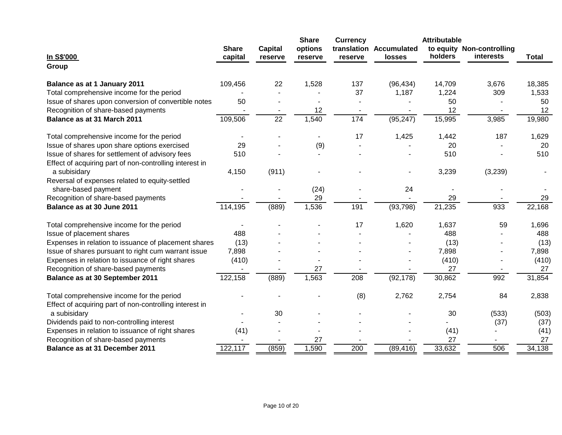|                                                                         |                         |                           | <b>Share</b>       | <b>Currency</b> |                                          | <b>Attributable</b> |                                               |              |
|-------------------------------------------------------------------------|-------------------------|---------------------------|--------------------|-----------------|------------------------------------------|---------------------|-----------------------------------------------|--------------|
| In S\$'000                                                              | <b>Share</b><br>capital | <b>Capital</b><br>reserve | options<br>reserve | reserve         | translation Accumulated<br><b>losses</b> | holders             | to equity Non-controlling<br><b>interests</b> | <b>Total</b> |
| Group                                                                   |                         |                           |                    |                 |                                          |                     |                                               |              |
| Balance as at 1 January 2011                                            | 109,456                 | 22                        | 1,528              | 137             | (96, 434)                                | 14,709              | 3,676                                         | 18,385       |
| Total comprehensive income for the period                               |                         |                           |                    | 37              | 1,187                                    | 1,224               | 309                                           | 1,533        |
| Issue of shares upon conversion of convertible notes                    | 50                      |                           |                    |                 |                                          | 50                  |                                               | 50           |
| Recognition of share-based payments                                     |                         |                           | 12                 |                 |                                          | 12                  |                                               | 12           |
| Balance as at 31 March 2011                                             | 109,506                 | $\overline{22}$           | 1,540              | 174             | (95, 247)                                | 15,995              | 3,985                                         | 19,980       |
| Total comprehensive income for the period                               |                         |                           |                    | 17              | 1,425                                    | 1,442               | 187                                           | 1,629        |
| Issue of shares upon share options exercised                            | 29                      |                           | (9)                |                 |                                          | 20                  |                                               | 20           |
| Issue of shares for settlement of advisory fees                         | 510                     |                           |                    |                 |                                          | 510                 |                                               | 510          |
| Effect of acquiring part of non-controlling interest in                 |                         |                           |                    |                 |                                          |                     |                                               |              |
| a subisidary                                                            | 4,150                   | (911)                     |                    |                 |                                          | 3,239               | (3,239)                                       |              |
| Reversal of expenses related to equity-settled                          |                         |                           |                    |                 |                                          |                     |                                               |              |
| share-based payment                                                     |                         |                           | (24)               |                 | 24                                       |                     |                                               |              |
| Recognition of share-based payments                                     |                         |                           | 29                 |                 |                                          | 29                  |                                               | 29           |
| Balance as at 30 June 2011                                              | 114,195                 | (889)                     | 1,536              | 191             | (93, 798)                                | 21,235              | 933                                           | 22,168       |
| Total comprehensive income for the period                               |                         |                           |                    | 17              | 1,620                                    | 1,637               | 59                                            | 1,696        |
| Issue of placement shares                                               | 488                     |                           |                    |                 |                                          | 488                 |                                               | 488          |
| Expenses in relation to issuance of placement shares                    | (13)                    |                           |                    |                 |                                          | (13)                |                                               | (13)         |
| Issue of shares pursuant to right cum warrant issue                     | 7,898                   |                           |                    |                 |                                          | 7,898               |                                               | 7,898        |
| Expenses in relation to issuance of right shares                        | (410)                   |                           |                    |                 |                                          | (410)               |                                               | (410)        |
| Recognition of share-based payments                                     |                         |                           | 27                 |                 |                                          | 27                  |                                               | 27           |
| Balance as at 30 September 2011                                         | 122,158                 | (889)                     | 1,563              | 208             | (92, 178)                                | 30,862              | 992                                           | 31,854       |
| Total comprehensive income for the period                               |                         |                           |                    | (8)             | 2,762                                    | 2,754               | 84                                            | 2,838        |
| Effect of acquiring part of non-controlling interest in<br>a subisidary |                         | 30                        |                    |                 |                                          | 30                  | (533)                                         | (503)        |
| Dividends paid to non-controlling interest                              |                         |                           |                    |                 |                                          |                     | (37)                                          | (37)         |
| Expenses in relation to issuance of right shares                        | (41)                    |                           |                    |                 |                                          | (41)                |                                               | (41)         |
| Recognition of share-based payments                                     |                         |                           | 27                 |                 |                                          | 27                  |                                               | 27           |
| Balance as at 31 December 2011                                          | 122,117                 | (859)                     | 1,590              | 200             | (89, 416)                                | 33,632              | 506                                           | 34,138       |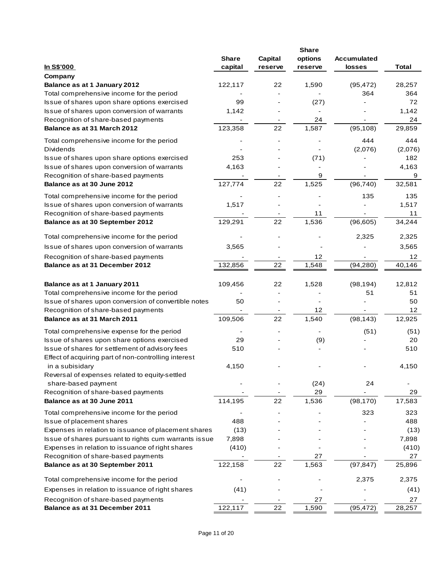|                                                       | <b>Share</b> | Capital | options | <b>Accumulated</b> |              |
|-------------------------------------------------------|--------------|---------|---------|--------------------|--------------|
| In S\$'000                                            | capital      | reserve | reserve | losses             | <b>Total</b> |
| Company                                               |              |         |         |                    |              |
| Balance as at 1 January 2012                          | 122,117      | 22      | 1,590   | (95, 472)          | 28,257       |
| Total comprehensive income for the period             |              |         |         | 364                | 364          |
| Issue of shares upon share options exercised          | 99           |         | (27)    |                    | 72           |
| Issue of shares upon conversion of warrants           | 1,142        |         |         |                    | 1,142        |
| Recognition of share-based payments                   |              |         | 24      |                    | 24           |
| Balance as at 31 March 2012                           | 123,358      | 22      | 1,587   | (95, 108)          | 29,859       |
|                                                       |              |         |         |                    |              |
| Total comprehensive income for the period             |              |         |         | 444                | 444          |
| <b>Dividends</b>                                      |              |         |         | (2,076)            | (2,076)      |
| Issue of shares upon share options exercised          | 253          |         | (71)    |                    | 182          |
| Issue of shares upon conversion of warrants           | 4,163        |         |         |                    | 4,163        |
| Recognition of share-based payments                   |              |         | 9       |                    | 9            |
| Balance as at 30 June 2012                            | 127,774      | 22      | 1,525   | (96, 740)          | 32,581       |
| Total comprehensive income for the period             |              |         |         | 135                | 135          |
| Issue of shares upon conversion of warrants           | 1,517        |         |         |                    | 1,517        |
| Recognition of share-based payments                   |              |         | 11      |                    | 11           |
| Balance as at 30 September 2012                       | 129,291      | 22      | 1,536   | (96, 605)          | 34,244       |
| Total comprehensive income for the period             |              |         |         | 2,325              | 2,325        |
| Issue of shares upon conversion of warrants           | 3,565        |         |         |                    | 3,565        |
| Recognition of share-based payments                   |              |         | 12      |                    | 12           |
| Balance as at 31 December 2012                        | 132,856      | 22      | 1,548   | (94, 280)          | 40,146       |
|                                                       |              |         |         |                    |              |
| Balance as at 1 January 2011                          | 109,456      | 22      | 1,528   | (98, 194)          | 12,812       |
| Total comprehensive income for the period             |              |         |         | 51                 | 51           |
| Issue of shares upon conversion of convertible notes  | 50           |         |         |                    | 50           |
| Recognition of share-based payments                   |              |         | 12      |                    | 12           |
| Balance as at 31 March 2011                           | 109,506      | 22      | 1,540   | (98, 143)          | 12,925       |
| Total comprehensive expense for the period            |              |         |         | (51)               | (51)         |
| Issue of shares upon share options exercised          | 29           |         | (9)     |                    | 20           |
| Issue of shares for settlement of advisory fees       | 510          |         |         |                    | 510          |
| Effect of acquiring part of non-controlling interest  |              |         |         |                    |              |
| in a subisidary                                       | 4,150        |         |         |                    | 4,150        |
| Reversal of expenses related to equity-settled        |              |         |         |                    |              |
| share-based payment                                   |              |         | (24)    | 24                 |              |
| Recognition of share-based payments                   |              |         | 29      |                    | 29           |
| Balance as at 30 June 2011                            | 114,195      | 22      | 1,536   | (98, 170)          | 17,583       |
| Total comprehensive income for the period             |              |         |         | 323                | 323          |
| Issue of placement shares                             | 488          |         |         |                    | 488          |
| Expenses in relation to issuance of placement shares  | (13)         |         |         |                    | (13)         |
| Issue of shares pursuant to rights cum warrants issue | 7,898        |         |         |                    | 7,898        |
| Expenses in relation to issuance of right shares      | (410)        |         |         |                    | (410)        |
| Recognition of share-based payments                   |              |         | 27      |                    | 27           |
| Balance as at 30 September 2011                       | 122,158      | 22      | 1,563   | (97, 847)          | 25,896       |
| Total comprehensive income for the period             |              |         |         | 2,375              | 2,375        |
| Expenses in relation to issuance of right shares      | (41)         |         |         |                    | (41)         |
| Recognition of share-based payments                   |              |         | 27      |                    | 27           |
| Balance as at 31 December 2011                        | 122,117      | 22      | 1,590   | (95, 472)          | 28,257       |
|                                                       |              |         |         |                    |              |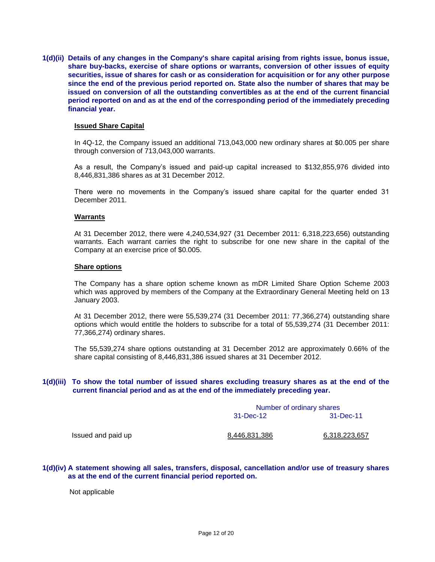**1(d)(ii) Details of any changes in the Company's share capital arising from rights issue, bonus issue, share buy-backs, exercise of share options or warrants, conversion of other issues of equity securities, issue of shares for cash or as consideration for acquisition or for any other purpose since the end of the previous period reported on. State also the number of shares that may be issued on conversion of all the outstanding convertibles as at the end of the current financial period reported on and as at the end of the corresponding period of the immediately preceding financial year.**

#### **Issued Share Capital**

In 4Q-12, the Company issued an additional 713,043,000 new ordinary shares at \$0.005 per share through conversion of 713,043,000 warrants.

As a result, the Company's issued and paid-up capital increased to \$132,855,976 divided into 8,446,831,386 shares as at 31 December 2012.

There were no movements in the Company's issued share capital for the quarter ended 31 December 2011.

#### **Warrants**

At 31 December 2012, there were 4,240,534,927 (31 December 2011: 6,318,223,656) outstanding warrants. Each warrant carries the right to subscribe for one new share in the capital of the Company at an exercise price of \$0.005.

#### **Share options**

The Company has a share option scheme known as mDR Limited Share Option Scheme 2003 which was approved by members of the Company at the Extraordinary General Meeting held on 13 January 2003.

At 31 December 2012, there were 55,539,274 (31 December 2011: 77,366,274) outstanding share options which would entitle the holders to subscribe for a total of 55,539,274 (31 December 2011: 77,366,274) ordinary shares.

The 55,539,274 share options outstanding at 31 December 2012 are approximately 0.66% of the share capital consisting of 8,446,831,386 issued shares at 31 December 2012.

#### **1(d)(iii) To show the total number of issued shares excluding treasury shares as at the end of the current financial period and as at the end of the immediately preceding year.**

|                    | Number of ordinary shares |               |
|--------------------|---------------------------|---------------|
|                    | 31-Dec-12                 | 31-Dec-11     |
| Issued and paid up | 8,446,831,386             | 6,318,223,657 |

#### **1(d)(iv) A statement showing all sales, transfers, disposal, cancellation and/or use of treasury shares as at the end of the current financial period reported on.**

Not applicable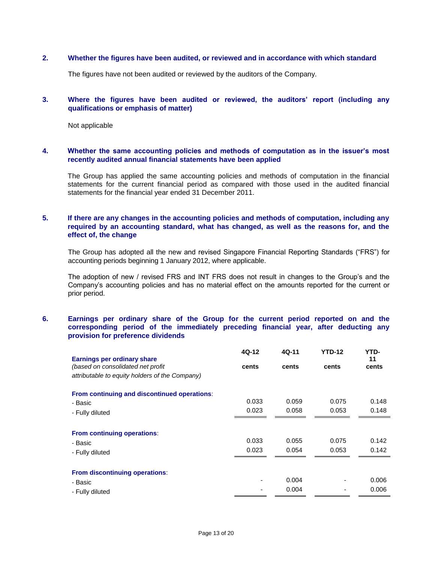#### **2. Whether the figures have been audited, or reviewed and in accordance with which standard**

The figures have not been audited or reviewed by the auditors of the Company.

#### **3. Where the figures have been audited or reviewed, the auditors' report (including any qualifications or emphasis of matter)**

Not applicable

#### **4. Whether the same accounting policies and methods of computation as in the issuer's most recently audited annual financial statements have been applied**

The Group has applied the same accounting policies and methods of computation in the financial statements for the current financial period as compared with those used in the audited financial statements for the financial year ended 31 December 2011.

#### **5. If there are any changes in the accounting policies and methods of computation, including any required by an accounting standard, what has changed, as well as the reasons for, and the effect of, the change**

The Group has adopted all the new and revised Singapore Financial Reporting Standards ("FRS") for accounting periods beginning 1 January 2012, where applicable.

The adoption of new / revised FRS and INT FRS does not result in changes to the Group's and the Company's accounting policies and has no material effect on the amounts reported for the current or prior period.

### **6. Earnings per ordinary share of the Group for the current period reported on and the corresponding period of the immediately preceding financial year, after deducting any provision for preference dividends**

|                                                | 4Q-12 | 4Q-11 | <b>YTD-12</b> | YTD-  |
|------------------------------------------------|-------|-------|---------------|-------|
| <b>Earnings per ordinary share</b>             |       |       |               | 11    |
| (based on consolidated net profit              | cents | cents | cents         | cents |
| attributable to equity holders of the Company) |       |       |               |       |
| From continuing and discontinued operations:   |       |       |               |       |
| - Basic                                        | 0.033 | 0.059 | 0.075         | 0.148 |
| - Fully diluted                                | 0.023 | 0.058 | 0.053         | 0.148 |
|                                                |       |       |               |       |
| From continuing operations:                    |       |       |               |       |
| - Basic                                        | 0.033 | 0.055 | 0.075         | 0.142 |
| - Fully diluted                                | 0.023 | 0.054 | 0.053         | 0.142 |
|                                                |       |       |               |       |
| From discontinuing operations:                 |       |       |               |       |
| - Basic                                        |       | 0.004 |               | 0.006 |
| - Fully diluted                                |       | 0.004 |               | 0.006 |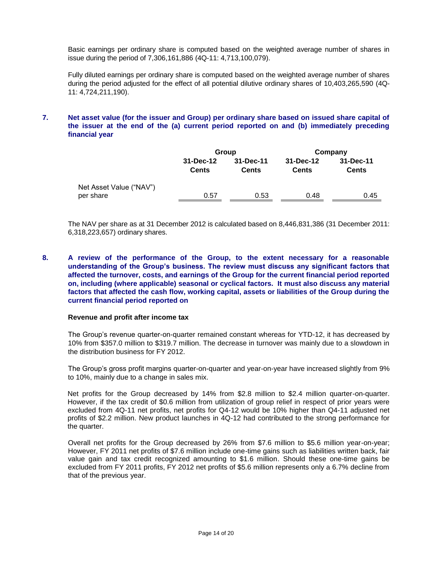Basic earnings per ordinary share is computed based on the weighted average number of shares in issue during the period of 7,306,161,886 (4Q-11: 4,713,100,079).

Fully diluted earnings per ordinary share is computed based on the weighted average number of shares during the period adjusted for the effect of all potential dilutive ordinary shares of 10,403,265,590 (4Q-11: 4,724,211,190).

## **7. Net asset value (for the issuer and Group) per ordinary share based on issued share capital of the issuer at the end of the (a) current period reported on and (b) immediately preceding financial year**

|                         |                           | Group                     | Company                   |                           |  |
|-------------------------|---------------------------|---------------------------|---------------------------|---------------------------|--|
|                         | 31-Dec-12<br><b>Cents</b> | 31-Dec-11<br><b>Cents</b> | 31-Dec-12<br><b>Cents</b> | 31-Dec-11<br><b>Cents</b> |  |
| Net Asset Value ("NAV") |                           |                           |                           |                           |  |
| per share               | 0.57                      | 0.53                      | 0.48                      | 0.45                      |  |

The NAV per share as at 31 December 2012 is calculated based on 8,446,831,386 (31 December 2011: 6,318,223,657) ordinary shares.

**8. A review of the performance of the Group, to the extent necessary for a reasonable understanding of the Group's business. The review must discuss any significant factors that affected the turnover, costs, and earnings of the Group for the current financial period reported on, including (where applicable) seasonal or cyclical factors. It must also discuss any material factors that affected the cash flow, working capital, assets or liabilities of the Group during the current financial period reported on**

#### **Revenue and profit after income tax**

The Group's revenue quarter-on-quarter remained constant whereas for YTD-12, it has decreased by 10% from \$357.0 million to \$319.7 million. The decrease in turnover was mainly due to a slowdown in the distribution business for FY 2012.

The Group's gross profit margins quarter-on-quarter and year-on-year have increased slightly from 9% to 10%, mainly due to a change in sales mix.

Net profits for the Group decreased by 14% from \$2.8 million to \$2.4 million quarter-on-quarter. However, if the tax credit of \$0.6 million from utilization of group relief in respect of prior years were excluded from 4Q-11 net profits, net profits for Q4-12 would be 10% higher than Q4-11 adjusted net profits of \$2.2 million. New product launches in 4Q-12 had contributed to the strong performance for the quarter.

Overall net profits for the Group decreased by 26% from \$7.6 million to \$5.6 million year-on-year; However, FY 2011 net profits of \$7.6 million include one-time gains such as liabilities written back, fair value gain and tax credit recognized amounting to \$1.6 million. Should these one-time gains be excluded from FY 2011 profits, FY 2012 net profits of \$5.6 million represents only a 6.7% decline from that of the previous year.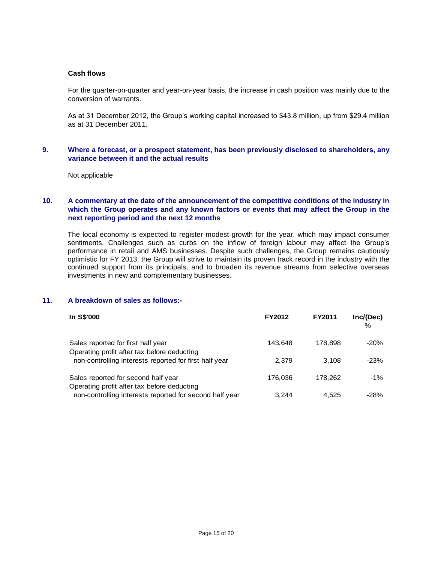#### **Cash flows**

For the quarter-on-quarter and year-on-year basis, the increase in cash position was mainly due to the conversion of warrants.

As at 31 December 2012, the Group's working capital increased to \$43.8 million, up from \$29.4 million as at 31 December 2011.

#### **9. Where a forecast, or a prospect statement, has been previously disclosed to shareholders, any variance between it and the actual results**

Not applicable

## **10. A commentary at the date of the announcement of the competitive conditions of the industry in which the Group operates and any known factors or events that may affect the Group in the next reporting period and the next 12 months**

The local economy is expected to register modest growth for the year, which may impact consumer sentiments. Challenges such as curbs on the inflow of foreign labour may affect the Group's performance in retail and AMS businesses. Despite such challenges, the Group remains cautiously optimistic for FY 2013; the Group will strive to maintain its proven track record in the industry with the continued support from its principals, and to broaden its revenue streams from selective overseas investments in new and complementary businesses.

## **11. A breakdown of sales as follows:-**

| In S\$'000                                                                         | FY2012  | <b>FY2011</b> | Inc/(Dec)<br>$\%$ |
|------------------------------------------------------------------------------------|---------|---------------|-------------------|
| Sales reported for first half year<br>Operating profit after tax before deducting  | 143,648 | 178.898       | $-20%$            |
| non-controlling interests reported for first half year                             | 2.379   | 3.108         | $-23%$            |
| Sales reported for second half year<br>Operating profit after tax before deducting | 176,036 | 178.262       | $-1\%$            |
| non-controlling interests reported for second half year                            | 3.244   | 4.525         | -28%              |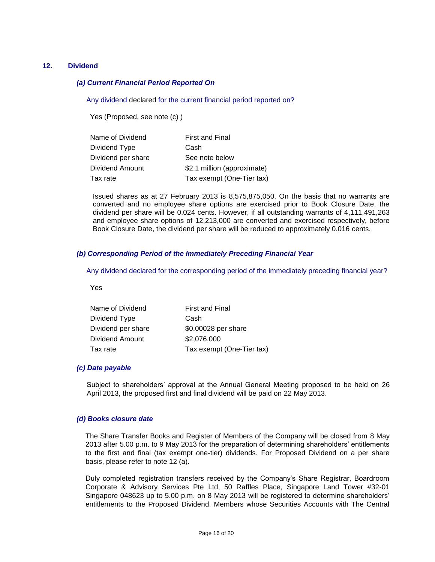#### **12. Dividend**

#### *(a) Current Financial Period Reported On*

Any dividend declared for the current financial period reported on?

Yes (Proposed, see note (c) )

| Name of Dividend   | <b>First and Final</b>      |
|--------------------|-----------------------------|
| Dividend Type      | Cash                        |
| Dividend per share | See note below              |
| Dividend Amount    | \$2.1 million (approximate) |
| Tax rate           | Tax exempt (One-Tier tax)   |

Issued shares as at 27 February 2013 is 8,575,875,050. On the basis that no warrants are converted and no employee share options are exercised prior to Book Closure Date, the dividend per share will be 0.024 cents. However, if all outstanding warrants of 4,111,491,263 and employee share options of 12,213,000 are converted and exercised respectively, before Book Closure Date, the dividend per share will be reduced to approximately 0.016 cents.

#### *(b) Corresponding Period of the Immediately Preceding Financial Year*

Any dividend declared for the corresponding period of the immediately preceding financial year?

Yes

| Name of Dividend   | <b>First and Final</b>    |
|--------------------|---------------------------|
| Dividend Type      | Cash                      |
| Dividend per share | \$0.00028 per share       |
| Dividend Amount    | \$2,076,000               |
| Tax rate           | Tax exempt (One-Tier tax) |

#### *(c) Date payable*

Subject to shareholders' approval at the Annual General Meeting proposed to be held on 26 April 2013, the proposed first and final dividend will be paid on 22 May 2013.

#### *(d) Books closure date*

The Share Transfer Books and Register of Members of the Company will be closed from 8 May 2013 after 5.00 p.m. to 9 May 2013 for the preparation of determining shareholders' entitlements to the first and final (tax exempt one-tier) dividends. For Proposed Dividend on a per share basis, please refer to note 12 (a).

Duly completed registration transfers received by the Company's Share Registrar, Boardroom Corporate & Advisory Services Pte Ltd, 50 Raffles Place, Singapore Land Tower #32-01 Singapore 048623 up to 5.00 p.m. on 8 May 2013 will be registered to determine shareholders' entitlements to the Proposed Dividend. Members whose Securities Accounts with The Central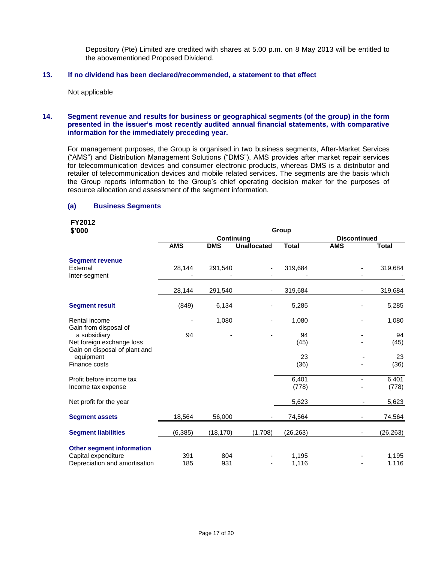Depository (Pte) Limited are credited with shares at 5.00 p.m. on 8 May 2013 will be entitled to the abovementioned Proposed Dividend.

### **13. If no dividend has been declared/recommended, a statement to that effect**

Not applicable

#### **14. Segment revenue and results for business or geographical segments (of the group) in the form presented in the issuer's most recently audited annual financial statements, with comparative information for the immediately preceding year.**

For management purposes, the Group is organised in two business segments, After-Market Services ("AMS") and Distribution Management Solutions ("DMS"). AMS provides after market repair services for telecommunication devices and consumer electronic products, whereas DMS is a distributor and retailer of telecommunication devices and mobile related services. The segments are the basis which the Group reports information to the Group's chief operating decision maker for the purposes of resource allocation and assessment of the segment information.

#### **(a) Business Segments**

# **FY2012**

| \$'000                                                      | Group      |            |                    |                |                     |                                   |  |
|-------------------------------------------------------------|------------|------------|--------------------|----------------|---------------------|-----------------------------------|--|
|                                                             |            | Continuing |                    |                | <b>Discontinued</b> |                                   |  |
|                                                             | <b>AMS</b> | <b>DMS</b> | <b>Unallocated</b> | <b>Total</b>   | <b>AMS</b>          | <b>Total</b>                      |  |
| <b>Segment revenue</b><br>External                          | 28,144     | 291,540    |                    | 319,684        |                     | 319,684                           |  |
| Inter-segment                                               | 28,144     | 291,540    |                    | 319,684        |                     | 319,684                           |  |
| <b>Segment result</b>                                       | (849)      | 6,134      |                    | 5,285          |                     | 5,285                             |  |
| Rental income<br>Gain from disposal of                      |            | 1,080      |                    | 1,080          |                     | 1,080                             |  |
| a subsidiary<br>Net foreign exchange loss                   | 94         |            |                    | 94<br>(45)     |                     | 94<br>(45)                        |  |
| Gain on disposal of plant and<br>equipment<br>Finance costs |            |            |                    | 23<br>(36)     |                     | 23<br>(36)                        |  |
| Profit before income tax<br>Income tax expense              |            |            |                    | 6,401<br>(778) |                     | 6,401<br>(778)                    |  |
| Net profit for the year                                     |            |            |                    | 5,623          |                     | 5,623<br>$\overline{\phantom{a}}$ |  |
| <b>Segment assets</b>                                       | 18,564     | 56,000     |                    | 74,564         |                     | 74,564<br>۰                       |  |
| <b>Segment liabilities</b>                                  | (6, 385)   | (18, 170)  | (1,708)            | (26, 263)      |                     | (26, 263)                         |  |
| <b>Other segment information</b>                            |            |            |                    |                |                     |                                   |  |
| Capital expenditure<br>Depreciation and amortisation        | 391<br>185 | 804<br>931 |                    | 1,195<br>1,116 |                     | 1,195<br>1,116                    |  |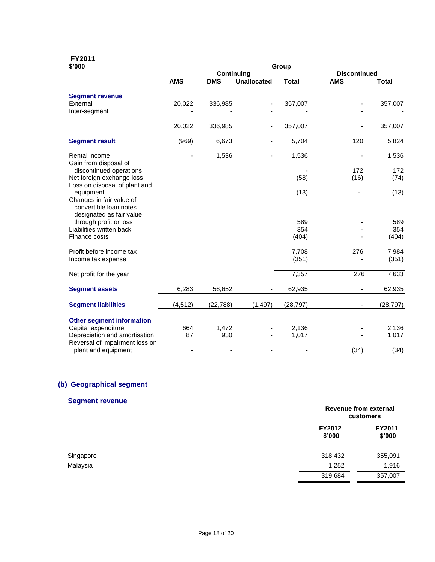# **FY2011**

| \$'000                                                                                                   | Group             |            |                     |              |            |              |  |
|----------------------------------------------------------------------------------------------------------|-------------------|------------|---------------------|--------------|------------|--------------|--|
|                                                                                                          | <b>Continuing</b> |            | <b>Discontinued</b> |              |            |              |  |
|                                                                                                          | <b>AMS</b>        | <b>DMS</b> | <b>Unallocated</b>  | <b>Total</b> | <b>AMS</b> | <b>Total</b> |  |
| <b>Segment revenue</b>                                                                                   |                   |            |                     |              |            |              |  |
| External                                                                                                 | 20,022            | 336,985    |                     | 357,007      |            | 357,007      |  |
| Inter-segment                                                                                            |                   |            |                     |              |            |              |  |
|                                                                                                          | 20,022            | 336,985    |                     | 357,007      |            | 357,007      |  |
| <b>Segment result</b>                                                                                    | (969)             | 6,673      |                     | 5,704        | 120        | 5,824        |  |
| Rental income<br>Gain from disposal of                                                                   |                   | 1,536      |                     | 1,536        |            | 1,536        |  |
| discontinued operations                                                                                  |                   |            |                     |              | 172        | 172          |  |
| Net foreign exchange loss                                                                                |                   |            |                     | (58)         | (16)       | (74)         |  |
| Loss on disposal of plant and                                                                            |                   |            |                     |              |            |              |  |
| equipment                                                                                                |                   |            |                     | (13)         |            | (13)         |  |
| Changes in fair value of<br>convertible loan notes<br>designated as fair value<br>through profit or loss |                   |            |                     | 589          |            | 589          |  |
| Liabilities written back                                                                                 |                   |            |                     | 354          |            | 354          |  |
| Finance costs                                                                                            |                   |            |                     | (404)        |            | (404)        |  |
| Profit before income tax                                                                                 |                   |            |                     | 7,708        | 276        | 7,984        |  |
| Income tax expense                                                                                       |                   |            |                     | (351)        |            | (351)        |  |
| Net profit for the year                                                                                  |                   |            |                     | 7,357        | 276        | 7,633        |  |
| <b>Segment assets</b>                                                                                    | 6,283             | 56,652     |                     | 62,935       |            | 62,935       |  |
| <b>Segment liabilities</b>                                                                               | (4, 512)          | (22, 788)  | (1, 497)            | (28, 797)    |            | (28, 797)    |  |
| <b>Other segment information</b>                                                                         |                   |            |                     |              |            |              |  |
| Capital expenditure                                                                                      | 664               | 1,472      |                     | 2,136        |            | 2,136        |  |
| Depreciation and amortisation                                                                            | 87                | 930        |                     | 1,017        |            | 1,017        |  |
| Reversal of impairment loss on                                                                           |                   |            |                     |              |            |              |  |
| plant and equipment                                                                                      |                   |            |                     |              | (34)       | (34)         |  |

# **(b) Geographical segment**

# **Segment revenue**

|           |                  | Revenue from external<br>customers |  |
|-----------|------------------|------------------------------------|--|
|           | FY2012<br>\$'000 | FY2011<br>\$'000                   |  |
| Singapore | 318,432          | 355,091                            |  |
| Malaysia  | 1,252            | 1,916                              |  |
|           | 319,684          | 357,007                            |  |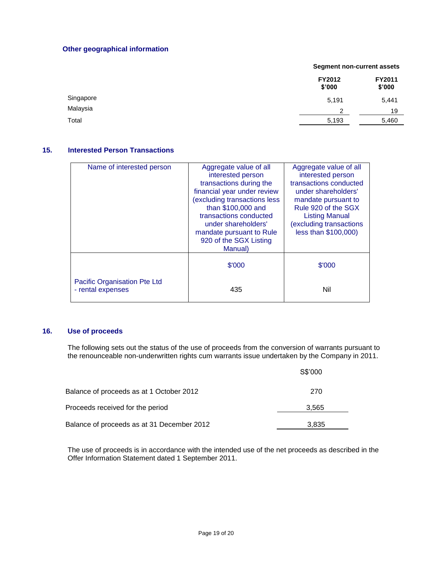## **Other geographical information**

|           |                  | <b>Segment non-current assets</b> |  |  |
|-----------|------------------|-----------------------------------|--|--|
|           | FY2012<br>\$'000 | FY2011<br>\$'000                  |  |  |
| Singapore | 5,191            | 5,441                             |  |  |
| Malaysia  | ົ                | 19                                |  |  |
| Total     | 5,193            | 5,460                             |  |  |

## **15. Interested Person Transactions**

| Name of interested person                         | Aggregate value of all<br>interested person<br>transactions during the<br>financial year under review<br>excluding transactions less<br>than \$100,000 and<br>transactions conducted<br>under shareholders'<br>mandate pursuant to Rule<br>920 of the SGX Listing<br>Manual) | Aggregate value of all<br>interested person<br>transactions conducted<br>under shareholders'<br>mandate pursuant to<br>Rule 920 of the SGX<br><b>Listing Manual</b><br>(excluding transactions<br>less than \$100,000) |  |
|---------------------------------------------------|------------------------------------------------------------------------------------------------------------------------------------------------------------------------------------------------------------------------------------------------------------------------------|------------------------------------------------------------------------------------------------------------------------------------------------------------------------------------------------------------------------|--|
|                                                   | \$'000                                                                                                                                                                                                                                                                       | \$'000                                                                                                                                                                                                                 |  |
| Pacific Organisation Pte Ltd<br>- rental expenses | 435                                                                                                                                                                                                                                                                          | Nil                                                                                                                                                                                                                    |  |

## **16. Use of proceeds**

The following sets out the status of the use of proceeds from the conversion of warrants pursuant to the renounceable non-underwritten rights cum warrants issue undertaken by the Company in 2011.

|                                            | S\$'000 |  |
|--------------------------------------------|---------|--|
| Balance of proceeds as at 1 October 2012   | 270     |  |
| Proceeds received for the period           | 3.565   |  |
| Balance of proceeds as at 31 December 2012 | 3,835   |  |

The use of proceeds is in accordance with the intended use of the net proceeds as described in the Offer Information Statement dated 1 September 2011.